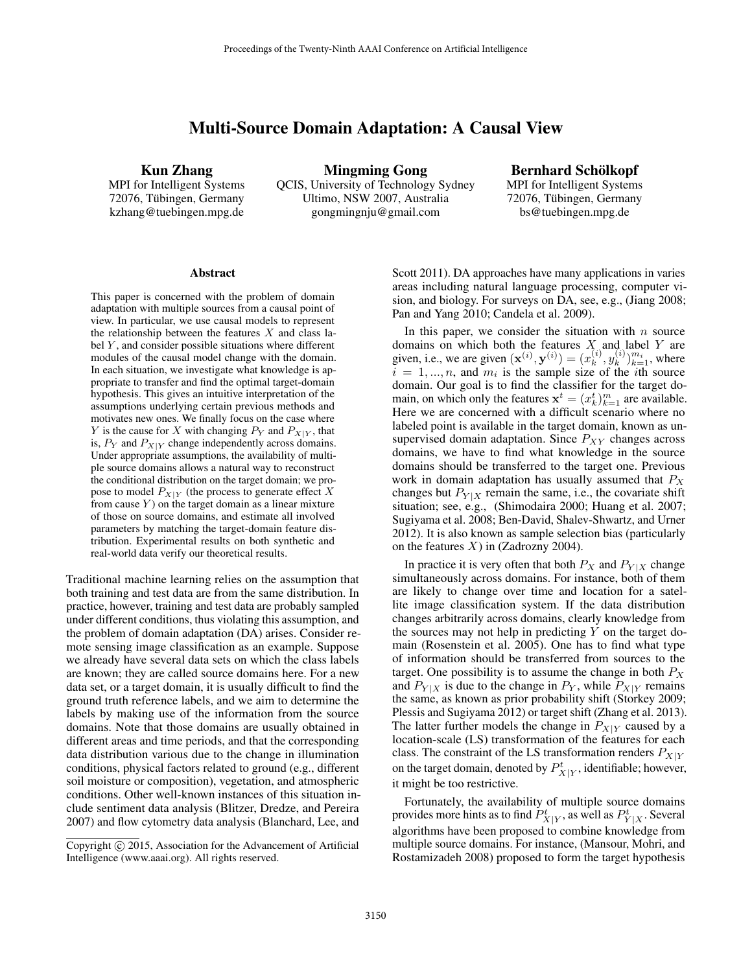# Multi-Source Domain Adaptation: A Causal View

Kun Zhang

MPI for Intelligent Systems 72076, Tübingen, Germany kzhang@tuebingen.mpg.de

Mingming Gong QCIS, University of Technology Sydney Ultimo, NSW 2007, Australia gongmingnju@gmail.com

Bernhard Schölkopf MPI for Intelligent Systems 72076, Tübingen, Germany bs@tuebingen.mpg.de

#### Abstract

This paper is concerned with the problem of domain adaptation with multiple sources from a causal point of view. In particular, we use causal models to represent the relationship between the features  $X$  and class label  $Y$ , and consider possible situations where different modules of the causal model change with the domain. In each situation, we investigate what knowledge is appropriate to transfer and find the optimal target-domain hypothesis. This gives an intuitive interpretation of the assumptions underlying certain previous methods and motivates new ones. We finally focus on the case where Y is the cause for X with changing  $P_Y$  and  $P_{X|Y}$ , that is,  $P_Y$  and  $P_{X|Y}$  change independently across domains. Under appropriate assumptions, the availability of multiple source domains allows a natural way to reconstruct the conditional distribution on the target domain; we propose to model  $P_{X|Y}$  (the process to generate effect X from cause  $Y$ ) on the target domain as a linear mixture of those on source domains, and estimate all involved parameters by matching the target-domain feature distribution. Experimental results on both synthetic and real-world data verify our theoretical results.

Traditional machine learning relies on the assumption that both training and test data are from the same distribution. In practice, however, training and test data are probably sampled under different conditions, thus violating this assumption, and the problem of domain adaptation (DA) arises. Consider remote sensing image classification as an example. Suppose we already have several data sets on which the class labels are known; they are called source domains here. For a new data set, or a target domain, it is usually difficult to find the ground truth reference labels, and we aim to determine the labels by making use of the information from the source domains. Note that those domains are usually obtained in different areas and time periods, and that the corresponding data distribution various due to the change in illumination conditions, physical factors related to ground (e.g., different soil moisture or composition), vegetation, and atmospheric conditions. Other well-known instances of this situation include sentiment data analysis (Blitzer, Dredze, and Pereira 2007) and flow cytometry data analysis (Blanchard, Lee, and

Scott 2011). DA approaches have many applications in varies areas including natural language processing, computer vision, and biology. For surveys on DA, see, e.g., (Jiang 2008; Pan and Yang 2010; Candela et al. 2009).

In this paper, we consider the situation with  $n$  source domains on which both the features  $X_i$  and label Y are given, i.e., we are given  $(\mathbf{x}^{(i)}, \mathbf{y}^{(i)}) = (x_k^{(i)})$  $_{k}^{(i)},y_{k}^{(i)}$  $_{k}^{(i)}$  $)_{k=1}^{m_i}$ , where  $i = 1, \dots, n$ , and  $m_i$  is the sample size of the *i*th source domain. Our goal is to find the classifier for the target domain, on which only the features  $\mathbf{x}^t = (x_k^t)_{k=1}^m$  are available. Here we are concerned with a difficult scenario where no labeled point is available in the target domain, known as unsupervised domain adaptation. Since  $P_{XY}$  changes across domains, we have to find what knowledge in the source domains should be transferred to the target one. Previous work in domain adaptation has usually assumed that  $P_X$ changes but  $P_{Y|X}$  remain the same, i.e., the covariate shift situation; see, e.g., (Shimodaira 2000; Huang et al. 2007; Sugiyama et al. 2008; Ben-David, Shalev-Shwartz, and Urner 2012). It is also known as sample selection bias (particularly on the features  $X$ ) in (Zadrozny 2004).

In practice it is very often that both  $P_X$  and  $P_{Y|X}$  change simultaneously across domains. For instance, both of them are likely to change over time and location for a satellite image classification system. If the data distribution changes arbitrarily across domains, clearly knowledge from the sources may not help in predicting  $Y$  on the target domain (Rosenstein et al. 2005). One has to find what type of information should be transferred from sources to the target. One possibility is to assume the change in both  $P_X$ and  $P_{Y|X}$  is due to the change in  $P_Y$ , while  $P_{X|Y}$  remains the same, as known as prior probability shift (Storkey 2009; Plessis and Sugiyama 2012) or target shift (Zhang et al. 2013). The latter further models the change in  $P_{X|Y}$  caused by a location-scale (LS) transformation of the features for each class. The constraint of the LS transformation renders  $P_{X|Y}$ on the target domain, denoted by  $P_{X|Y}^t$ , identifiable; however, it might be too restrictive.

Fortunately, the availability of multiple source domains provides more hints as to find  $P_{X|Y}^t$ , as well as  $P_{Y|X}^t$ . Several algorithms have been proposed to combine knowledge from multiple source domains. For instance, (Mansour, Mohri, and Rostamizadeh 2008) proposed to form the target hypothesis

Copyright © 2015, Association for the Advancement of Artificial Intelligence (www.aaai.org). All rights reserved.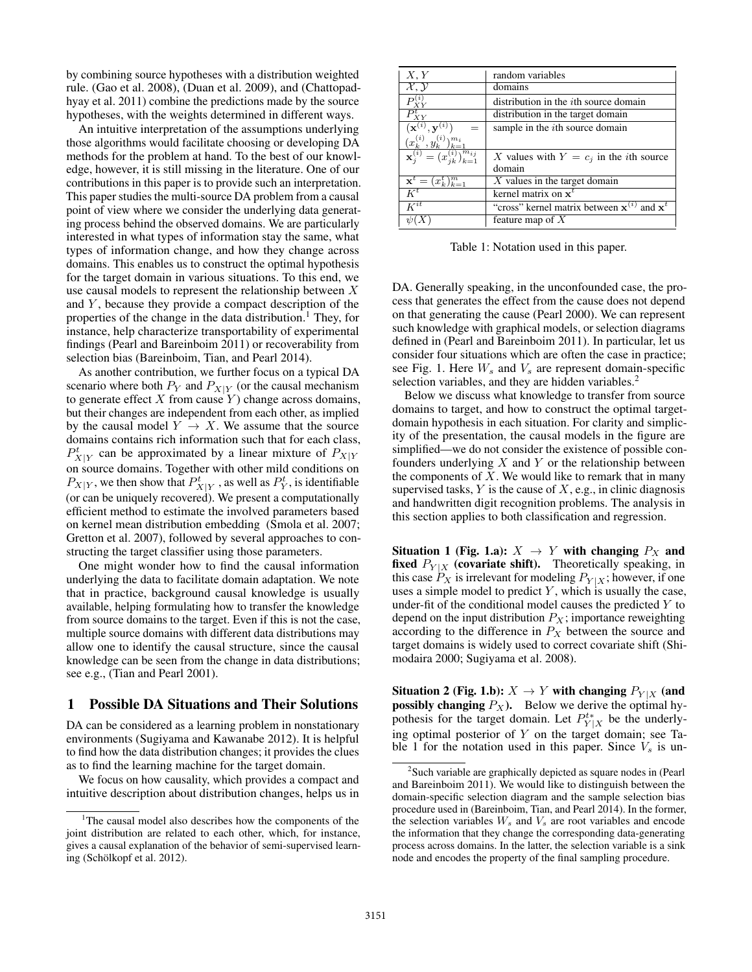by combining source hypotheses with a distribution weighted rule. (Gao et al. 2008), (Duan et al. 2009), and (Chattopadhyay et al. 2011) combine the predictions made by the source hypotheses, with the weights determined in different ways.

An intuitive interpretation of the assumptions underlying those algorithms would facilitate choosing or developing DA methods for the problem at hand. To the best of our knowledge, however, it is still missing in the literature. One of our contributions in this paper is to provide such an interpretation. This paper studies the multi-source DA problem from a causal point of view where we consider the underlying data generating process behind the observed domains. We are particularly interested in what types of information stay the same, what types of information change, and how they change across domains. This enables us to construct the optimal hypothesis for the target domain in various situations. To this end, we use causal models to represent the relationship between X and  $Y$ , because they provide a compact description of the properties of the change in the data distribution.<sup>1</sup> They, for instance, help characterize transportability of experimental findings (Pearl and Bareinboim 2011) or recoverability from selection bias (Bareinboim, Tian, and Pearl 2014).

As another contribution, we further focus on a typical DA scenario where both  $P_Y$  and  $P_{X|Y}$  (or the causal mechanism to generate effect  $X$  from cause  $Y$ ) change across domains, but their changes are independent from each other, as implied by the causal model  $Y \rightarrow X$ . We assume that the source domains contains rich information such that for each class,  $P_{X|Y}^t$  can be approximated by a linear mixture of  $P_{X|Y}$ on source domains. Together with other mild conditions on  $P_{X|Y}$ , we then show that  $P_{X|Y}^t$  , as well as  $P_Y^t$ , is identifiable (or can be uniquely recovered). We present a computationally efficient method to estimate the involved parameters based on kernel mean distribution embedding (Smola et al. 2007; Gretton et al. 2007), followed by several approaches to constructing the target classifier using those parameters.

One might wonder how to find the causal information underlying the data to facilitate domain adaptation. We note that in practice, background causal knowledge is usually available, helping formulating how to transfer the knowledge from source domains to the target. Even if this is not the case, multiple source domains with different data distributions may allow one to identify the causal structure, since the causal knowledge can be seen from the change in data distributions; see e.g., (Tian and Pearl 2001).

### 1 Possible DA Situations and Their Solutions

DA can be considered as a learning problem in nonstationary environments (Sugiyama and Kawanabe 2012). It is helpful to find how the data distribution changes; it provides the clues as to find the learning machine for the target domain.

We focus on how causality, which provides a compact and intuitive description about distribution changes, helps us in

| X, Y                                                 | random variables                                  |  |  |  |  |  |
|------------------------------------------------------|---------------------------------------------------|--|--|--|--|--|
| $\mathcal{X}, \mathcal{Y}$                           | domains                                           |  |  |  |  |  |
|                                                      | distribution in the <i>i</i> th source domain     |  |  |  |  |  |
| $\overline{P}_{X\underline{Y}}^t$                    | distribution in the target domain                 |  |  |  |  |  |
| $\mathbf{x}^{(i)}$<br>$^{\prime},\mathbf{y}^{(i)}$ . | sample in the <i>i</i> th source domain           |  |  |  |  |  |
| $(x_k^{(i)}, y_k^{(i)})_{k=1}^{m_i}$                 |                                                   |  |  |  |  |  |
| $\mathbf{x}_i^{(i)} = (x_{ik}^{(i)})_{k=1}^{m_{ij}}$ | X values with $Y = c_i$ in the <i>i</i> th source |  |  |  |  |  |
|                                                      | domain                                            |  |  |  |  |  |
| $\mathbf{x}^{t} = (x_{k}^{t})_{k=1}^{m}$             | $X$ values in the target domain                   |  |  |  |  |  |
| $\overline{K}^t$                                     | kernel matrix on $x^t$                            |  |  |  |  |  |
| $\overline{K^{it}}$                                  | "cross" kernel matrix between $x^{(i)}$ and $x^t$ |  |  |  |  |  |
|                                                      | feature map of $X$                                |  |  |  |  |  |

Table 1: Notation used in this paper.

DA. Generally speaking, in the unconfounded case, the process that generates the effect from the cause does not depend on that generating the cause (Pearl 2000). We can represent such knowledge with graphical models, or selection diagrams defined in (Pearl and Bareinboim 2011). In particular, let us consider four situations which are often the case in practice; see Fig. 1. Here  $W_s$  and  $V_s$  are represent domain-specific selection variables, and they are hidden variables.<sup>2</sup>

Below we discuss what knowledge to transfer from source domains to target, and how to construct the optimal targetdomain hypothesis in each situation. For clarity and simplicity of the presentation, the causal models in the figure are simplified—we do not consider the existence of possible confounders underlying  $X$  and  $Y$  or the relationship between the components of  $X$ . We would like to remark that in many supervised tasks,  $Y$  is the cause of  $X$ , e.g., in clinic diagnosis and handwritten digit recognition problems. The analysis in this section applies to both classification and regression.

Situation 1 (Fig. 1.a):  $X \rightarrow Y$  with changing  $P_X$  and fixed  $P_{Y|X}$  (covariate shift). Theoretically speaking, in this case  $P_X$  is irrelevant for modeling  $P_{Y|X}$ ; however, if one uses a simple model to predict  $Y$ , which is usually the case, under-fit of the conditional model causes the predicted  $Y$  to depend on the input distribution  $P_X$ ; importance reweighting according to the difference in  $P_X$  between the source and target domains is widely used to correct covariate shift (Shimodaira 2000; Sugiyama et al. 2008).

Situation 2 (Fig. 1.b):  $X \to Y$  with changing  $P_{Y|X}$  (and **possibly changing**  $P_X$ ). Below we derive the optimal hypothesis for the target domain. Let  $P_{Y|X}^{t*}$  be the underlying optimal posterior of  $Y$  on the target domain; see Table 1 for the notation used in this paper. Since  $V_s$  is un-

<sup>&</sup>lt;sup>1</sup>The causal model also describes how the components of the joint distribution are related to each other, which, for instance, gives a causal explanation of the behavior of semi-supervised learning (Schölkopf et al. 2012).

<sup>&</sup>lt;sup>2</sup>Such variable are graphically depicted as square nodes in (Pearl and Bareinboim 2011). We would like to distinguish between the domain-specific selection diagram and the sample selection bias procedure used in (Bareinboim, Tian, and Pearl 2014). In the former, the selection variables  $W_s$  and  $V_s$  are root variables and encode the information that they change the corresponding data-generating process across domains. In the latter, the selection variable is a sink node and encodes the property of the final sampling procedure.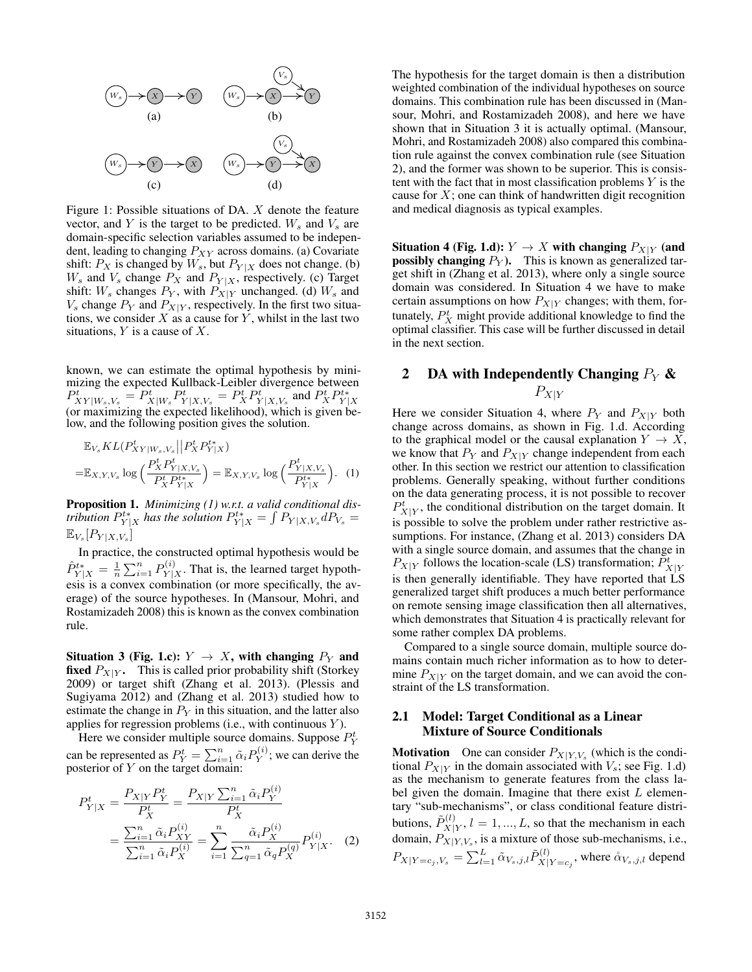

Figure 1: Possible situations of DA. X denote the feature vector, and Y is the target to be predicted.  $W_s$  and  $V_s$  are domain-specific selection variables assumed to be independent, leading to changing  $P_{XY}$  across domains. (a) Covariate shift:  $P_X$  is changed by  $W_s$ , but  $P_{Y|X}$  does not change. (b)  $W_s$  and  $V_s$  change  $P_X$  and  $P_{Y|X}$ , respectively. (c) Target shift:  $W_s$  changes  $P_Y$ , with  $P_{X|Y}$  unchanged. (d)  $W_s$  and  $V_s$  change  $P_Y$  and  $P_{X|Y}$ , respectively. In the first two situations, we consider  $X$  as a cause for  $Y$ , whilst in the last two situations,  $Y$  is a cause of  $X$ .

known, we can estimate the optimal hypothesis by minimizing the expected Kullback-Leibler divergence between  $P_{XY|W_s,V_s}^t = P_{X|W_s}^t P_{Y|X,V_s}^t = P_X^t P_{Y|X,V_s}^t$  and  $P_X^t P_{Y|X}^t$ <br>(or maximizing the expected likelihood), which is given below, and the following position gives the solution.

$$
\mathbb{E}_{V_s} KL(P_{XY|W_s,V_s}^t || P_X^t P_{Y|X}^{t*})
$$
\n
$$
= \mathbb{E}_{X,Y,V_s} \log \left( \frac{P_X^t P_{Y|X,V_s}^t}{P_X^t P_{Y|X}^{t*}} \right) = \mathbb{E}_{X,Y,V_s} \log \left( \frac{P_{Y|X,V_s}^t}{P_{Y|X}^{t*}} \right). \tag{1}
$$

Proposition 1. *Minimizing (1) w.r.t. a valid conditional distribution*  $P_{Y|X}^{t*}$  *has the solution*  $P_{Y|X}^{t*} = \int P_{Y|X,V_s} dP_{V_s} =$  $\mathbb{E}_{V_s}[P_{Y|X, V_s}]$ 

In practice, the constructed optimal hypothesis would be  $\hat{P}^{t*}_{Y|X} = \frac{1}{n} \sum_{i=1}^{n} P^{(i)}_{Y|X}$  $Y|X \cap Y|X$ . That is, the learned target hypothesis is a convex combination (or more specifically, the average) of the source hypotheses. In (Mansour, Mohri, and Rostamizadeh 2008) this is known as the convex combination rule.

Situation 3 (Fig. 1.c):  $Y \rightarrow X$ , with changing  $P_Y$  and **fixed**  $P_{X|Y}$ . This is called prior probability shift (Storkey 2009) or target shift (Zhang et al. 2013). (Plessis and Sugiyama 2012) and (Zhang et al. 2013) studied how to estimate the change in  $P<sub>Y</sub>$  in this situation, and the latter also applies for regression problems (i.e., with continuous  $Y$ ).

Here we consider multiple source domains. Suppose  $P_Y^t$ can be represented as  $P_Y^t = \sum_{i=1}^n \tilde{\alpha}_i P_Y^{(i)}$  $Y^{(i)}$ ; we can derive the posterior of  $Y$  on the target domain:

$$
P_{Y|X}^{t} = \frac{P_{X|Y} P_{Y}^{t}}{P_{X}^{t}} = \frac{P_{X|Y} \sum_{i=1}^{n} \tilde{\alpha}_{i} P_{Y}^{(i)}}{P_{X}^{t}}
$$

$$
= \frac{\sum_{i=1}^{n} \tilde{\alpha}_{i} P_{XY}^{(i)}}{\sum_{i=1}^{n} \tilde{\alpha}_{i} P_{X}^{(i)}} = \sum_{i=1}^{n} \frac{\tilde{\alpha}_{i} P_{X}^{(i)}}{\sum_{q=1}^{n} \tilde{\alpha}_{q} P_{X}^{(q)}} P_{Y|X}^{(i)}.
$$
 (2)

The hypothesis for the target domain is then a distribution weighted combination of the individual hypotheses on source domains. This combination rule has been discussed in (Mansour, Mohri, and Rostamizadeh 2008), and here we have shown that in Situation 3 it is actually optimal. (Mansour, Mohri, and Rostamizadeh 2008) also compared this combination rule against the convex combination rule (see Situation 2), and the former was shown to be superior. This is consistent with the fact that in most classification problems  $Y$  is the cause for  $X$ ; one can think of handwritten digit recognition and medical diagnosis as typical examples.

Situation 4 (Fig. 1.d):  $Y \to X$  with changing  $P_{X|Y}$  (and **possibly changing**  $P_Y$ ). This is known as generalized target shift in (Zhang et al. 2013), where only a single source domain was considered. In Situation 4 we have to make certain assumptions on how  $P_{X|Y}$  changes; with them, fortunately,  $P_X^t$  might provide additional knowledge to find the optimal classifier. This case will be further discussed in detail in the next section.

# 2 DA with Independently Changing  $P_Y$  &  $P_{X|Y}$

Here we consider Situation 4, where  $P_Y$  and  $P_{X|Y}$  both change across domains, as shown in Fig. 1.d. According to the graphical model or the causal explanation  $Y \to X$ , we know that  $P_Y$  and  $P_{X|Y}$  change independent from each other. In this section we restrict our attention to classification problems. Generally speaking, without further conditions on the data generating process, it is not possible to recover  $P_{X|Y}^t$ , the conditional distribution on the target domain. It is possible to solve the problem under rather restrictive assumptions. For instance, (Zhang et al. 2013) considers DA with a single source domain, and assumes that the change in  $P_{X|Y}$  follows the location-scale (LS) transformation;  $\tilde{P}_{X|Y}^t$ is then generally identifiable. They have reported that LS generalized target shift produces a much better performance on remote sensing image classification then all alternatives, which demonstrates that Situation 4 is practically relevant for some rather complex DA problems.

Compared to a single source domain, multiple source domains contain much richer information as to how to determine  $P_{X|Y}$  on the target domain, and we can avoid the constraint of the LS transformation.

## 2.1 Model: Target Conditional as a Linear Mixture of Source Conditionals

**Motivation** One can consider  $P_{X|Y,V_s}$  (which is the conditional  $P_{X|Y}$  in the domain associated with  $V_s$ ; see Fig. 1.d) as the mechanism to generate features from the class label given the domain. Imagine that there exist  $L$  elementary "sub-mechanisms", or class conditional feature distributions,  $\tilde{P}_{X|}^{(l)}$  $X|Y, l = 1, ..., L$ , so that the mechanism in each domain,  $P_{X|Y,V_s}$ , is a mixture of those sub-mechanisms, i.e.,  $P_{X|Y=c_j,V_s}=\sum_{l=1}^L \tilde{\alpha}_{V_s,j,l}\tilde{P}_{X|}^{(l)}$  $X|Y=c_j$ , where  $\overset{\circ}{\alpha}_{V_s,j,l}$  depend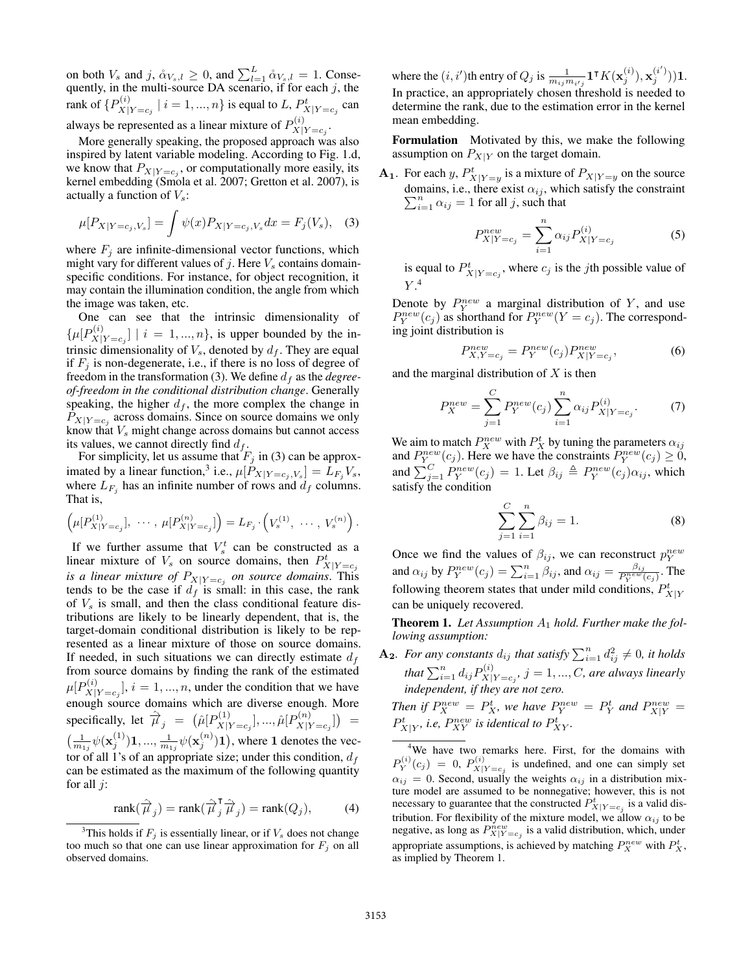on both  $V_s$  and  $j$ ,  $\mathring{\alpha}_{V_s,l} \geq 0$ , and  $\sum_{l=1}^{L} \mathring{\alpha}_{V_s,l} = 1$ . Consequently, in the multi-source DA scenario, if for each  $j$ , the rank of  $\{P_{X^+}^{(i)}\}$  $X|_{X|Y=c_j}$   $|i = 1, ..., n$  is equal to L,  $P_{X|Y=c_j}^{t}$  can always be represented as a linear mixture of  $P_{X|}^{(i)}$  $X|Y=c_j$ .

More generally speaking, the proposed approach was also inspired by latent variable modeling. According to Fig. 1.d, we know that  $P_{X|Y=c_j}$ , or computationally more easily, its kernel embedding (Smola et al. 2007; Gretton et al. 2007), is actually a function of  $V_s$ :

$$
\mu[P_{X|Y=c_j,V_s}] = \int \psi(x) P_{X|Y=c_j,V_s} dx = F_j(V_s), \quad (3)
$$

where  $F_j$  are infinite-dimensional vector functions, which might vary for different values of  $j$ . Here  $V_s$  contains domainspecific conditions. For instance, for object recognition, it may contain the illumination condition, the angle from which the image was taken, etc.

One can see that the intrinsic dimensionality of  $\{\mu[P_\mathrm{\scriptscriptstyle Y}^{(i)}]$  $X|Y=c_j$  | i = 1, ..., n}, is upper bounded by the intrinsic dimensionality of  $V_s$ , denoted by  $d_f$ . They are equal if  $F_j$  is non-degenerate, i.e., if there is no loss of degree of freedom in the transformation (3). We define  $d_f$  as the *degreeof-freedom in the conditional distribution change*. Generally speaking, the higher  $d_f$ , the more complex the change in  $P_{X|Y=c_j}$  across domains. Since on source domains we only know that  $V_s$  might change across domains but cannot access its values, we cannot directly find  $d_f$ .

For simplicity, let us assume that  $F_j$  in (3) can be approximated by a linear function,<sup>3</sup> i.e.,  $\mu[P_{X|Y=c_j, V_s}] = L_{F_j}V_s$ , where  $L_{F_j}$  has an infinite number of rows and  $d_f$  columns. That is,

$$
\left(\mu[P_{X|Y=c_j}^{(1)}], \cdots, \mu[P_{X|Y=c_j}^{(n)}]\right) = L_{F_j} \cdot \left(V_s^{(1)}, \cdots, V_s^{(n)}\right).
$$

If we further assume that  $V_s^t$  can be constructed as a linear mixture of  $V_s$  on source domains, then  $P_{X|Y=c_j}^t$ *is a linear mixture of*  $P_{X|Y=c_j}$  *on source domains.* This tends to be the case if  $d_f$  is small: in this case, the rank of  $V<sub>s</sub>$  is small, and then the class conditional feature distributions are likely to be linearly dependent, that is, the target-domain conditional distribution is likely to be represented as a linear mixture of those on source domains. If needed, in such situations we can directly estimate  $d_f$ from source domains by finding the rank of the estimated  $\mu[P_{\text{Y}^\text{(i)}}^{(i)}]$  $X|Y=c_j$ ,  $i=1,...,n$ , under the condition that we have enough source domains which are diverse enough. More specifically, let  $\hat{\vec{\mu}}_j = (\hat{\mu}[P_{X|j}^{(1)}])$  $\hat{\mu}_{X|Y=c_j}^{(1)}],...,\hat{\mu}[P_{X|Y}^{(n)}]$  $\binom{n}{X|Y=c_j}$  =  $\left(\frac{1}{m_{1j}}\psi(\mathbf{x}_j^{(1)})\mathbf{1},...,\frac{1}{m_{1j}}\psi(\mathbf{x}_j^{(n)})\mathbf{1}\right)$ , where 1 denotes the vector of all 1's of an appropriate size; under this condition,  $d_f$ can be estimated as the maximum of the following quantity for all  $j$ :

$$
\text{rank}(\hat{\overrightarrow{\mu}}_j) = \text{rank}(\hat{\overrightarrow{\mu}}_j^{\mathsf{T}} \hat{\overrightarrow{\mu}}_j) = \text{rank}(Q_j), \tag{4}
$$

where the  $(i, i')$ th entry of  $Q_j$  is  $\frac{1}{m_{ij}m_{i'j}} \mathbf{1}^\intercal K(\mathbf{x}^{(i)}_j), \mathbf{x}^{(i')}_j) \mathbf{1}.$ In practice, an appropriately chosen threshold is needed to determine the rank, due to the estimation error in the kernel mean embedding.

Formulation Motivated by this, we make the following assumption on  $P_{X|Y}$  on the target domain.

**A**<sub>1</sub>. For each y,  $P_{X|Y=y}^t$  is a mixture of  $P_{X|Y=y}$  on the source domains, i.e., there exist  $\alpha_{ij}$ , which satisfy the constraint  $\sum_{i=1}^{n} \alpha_{ij} = 1$  for all j, such that

$$
P_{X|Y=c_j}^{new} = \sum_{i=1}^{n} \alpha_{ij} P_{X|Y=c_j}^{(i)}
$$
 (5)

is equal to  $P_{X|Y=c_j}^t$ , where  $c_j$  is the *j*th possible value of  $Y.^4$ 

Denote by  $P_Y^{new}$  a marginal distribution of Y, and use  $P_Y^{new}(c_j)$  as shorthand for  $P_Y^{new}(Y = c_j)$ . The corresponding joint distribution is

$$
P_{X,Y=c_j}^{new} = P_Y^{new}(c_j) P_{X|Y=c_j}^{new},
$$
 (6)

and the marginal distribution of  $X$  is then

$$
P_X^{new} = \sum_{j=1}^C P_Y^{new}(c_j) \sum_{i=1}^n \alpha_{ij} P_{X|Y=c_j}^{(i)}.
$$
 (7)

We aim to match  $P_X^{new}$  with  $P_X^t$  by tuning the parameters  $\alpha_{ij}$ and  $P_{Y}^{new}(c_j)$ . Here we have the constraints  $P_{Y}^{new}(c_j) \geq 0$ , and  $\sum_{j=1}^{C} P_Y^{new}(c_j) = 1$ . Let  $\beta_{ij} \triangleq P_Y^{new}(c_j) \alpha_{ij}$ , which satisfy the condition

$$
\sum_{j=1}^{C} \sum_{i=1}^{n} \beta_{ij} = 1.
$$
 (8)

Once we find the values of  $\beta_{ij}$ , we can reconstruct  $p_Y^{new}$ and  $\alpha_{ij}$  by  $P_Y^{new}(c_j) = \sum_{i=1}^n \beta_{ij}$ , and  $\alpha_{ij} = \frac{\beta_{ij}}{P_Y^{new}(c_j)}$ . The following theorem states that under mild conditions,  $P_{X|Y}^t$ can be uniquely recovered.

Theorem 1. Let Assumption  $A_1$  hold. Further make the fol*lowing assumption:*

 $\mathbf{A_2}$ *. For any constants*  $d_{ij}$  that satisfy  $\sum_{i=1}^{n} d_{ij}^2 \neq 0$ *, it holds* that  $\sum_{i=1}^n d_{ij} P^{(i)}_{X\parallel}$  $X|Y=c_j$ ,  $j=1,...,C$ , are always linearly *independent, if they are not zero.*

*Then if*  $P_X^{new} = P_X^t$ , we have  $P_Y^{new} = P_Y^t$  and  $P_{X|Y}^{new} = P_Y^t$  $P_{X|Y}^t$ , *i.e,*  $P_{XY}^{new}$  is identical to  $P_{XY}^t$ .

<sup>4</sup>We have two remarks here. First, for the domains with  $P_Y^{(i)}(c_j) = 0$ ,  $P_{X|Y=c_j}^{(i)}$  is undefined, and one can simply set  $\alpha_{ij} = 0$ . Second, usually the weights  $\alpha_{ij}$  in a distribution mixture model are assumed to be nonnegative; however, this is not necessary to guarantee that the constructed  $P_{X|Y=c_j}^t$  is a valid distribution. For flexibility of the mixture model, we allow  $\alpha_{ij}$  to be negative, as long as  $P_{X|Y=c_j}^{new}$  is a valid distribution, which, under appropriate assumptions, is achieved by matching  $P_X^{new}$  with  $P_X^t$ , as implied by Theorem 1.

<sup>&</sup>lt;sup>3</sup>This holds if  $F_j$  is essentially linear, or if  $V_s$  does not change too much so that one can use linear approximation for  $F_j$  on all observed domains.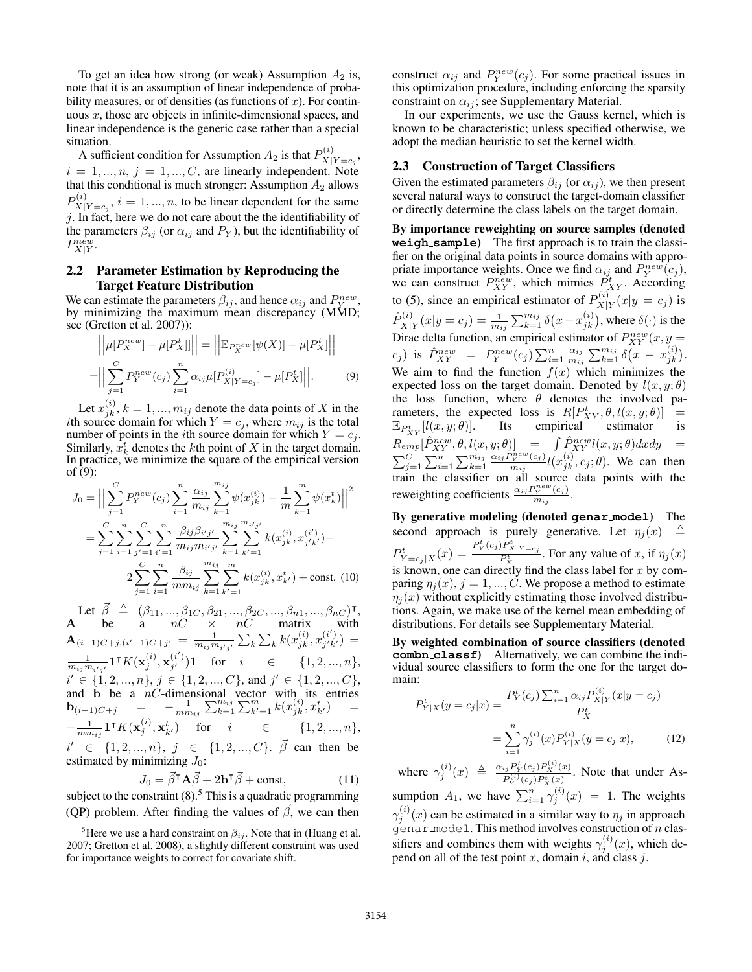To get an idea how strong (or weak) Assumption  $A_2$  is, note that it is an assumption of linear independence of probability measures, or of densities (as functions of  $x$ ). For continuous  $x$ , those are objects in infinite-dimensional spaces, and linear independence is the generic case rather than a special situation.

A sufficient condition for Assumption  $A_2$  is that  $P_{X|Y=c_2}^{(i)}$ ,  $i = 1, ..., n, j = 1, ..., C$ , are linearly independent. Note that this conditional is much stronger: Assumption  $A_2$  allows  $P_{\rm Yl}^{(i)}$  $X|Y=c_j$ ,  $i=1,...,n$ , to be linear dependent for the same  $j$ . In fact, here we do not care about the the identifiability of the parameters  $\beta_{ij}$  (or  $\alpha_{ij}$  and  $P_Y$ ), but the identifiability of  $P_{X|Y}^{n \tilde{e}w}.$ 

### 2.2 Parameter Estimation by Reproducing the Target Feature Distribution

We can estimate the parameters  $\beta_{ij}$ , and hence  $\alpha_{ij}$  and  $P_{Y}^{new}$ , by minimizing the maximum mean discrepancy (MMD; see (Gretton et al. 2007)):

$$
\left| \left| \mu[P_X^{new}] - \mu[P_X^t] \right| \right| = \left| \left| \mathbb{E}_{P_X^{new}}[\psi(X)] - \mu[P_X^t] \right| \right|
$$
  
= 
$$
\left| \left| \sum_{j=1}^C P_Y^{new}(c_j) \sum_{i=1}^n \alpha_{ij} \mu[P_X^{(i)}] - \mu[P_X^t] \right| \right|.
$$
 (9)

Let  $x_{jk}^{(i)}$ ,  $k = 1, ..., m_{ij}$  denote the data points of X in the *i*th source domain for which  $Y = c_j$ , where  $m_{ij}$  is the total number of points in the *i*th source domain for which  $Y = c_j$ . Similarly,  $x_k^t$  denotes the kth point of X in the target domain. In practice, we minimize the square of the empirical version of (9):

$$
J_0 = \Big\| \sum_{j=1}^{C} P_Y^{new}(c_j) \sum_{i=1}^{n} \frac{\alpha_{ij}}{m_{ij}} \sum_{k=1}^{m_{ij}} \psi(x_{jk}^{(i)}) - \frac{1}{m} \sum_{k=1}^{m} \psi(x_k^t) \Big\|^2
$$
  

$$
= \sum_{j=1}^{C} \sum_{i=1}^{n} \sum_{j'=1}^{C} \sum_{i'=1}^{n} \frac{\beta_{ij} \beta_{i'j'}}{m_{ij} m_{i'j'}} \sum_{k=1}^{m_{ij}} \sum_{k'=1}^{m_{ij'j}} k(x_{jk}^{(i)}, x_{j'k'}^{(i')}) -
$$
  

$$
2 \sum_{j=1}^{C} \sum_{i=1}^{n} \frac{\beta_{ij}}{m m_{ij}} \sum_{k=1}^{m_{ij}} \sum_{k'=1}^{m} k(x_{jk}^{(i)}, x_{k'}^{(t)}) + \text{const. (10)}
$$

Let  $\vec{\beta} \triangleq (\beta_{11}, ..., \beta_{1C}, \beta_{21}, ..., \beta_{2C}, ..., \beta_{n1}, ..., \beta_{nC})^{\mathsf{T}},$ A be a  $nC \times nC$  matrix with  ${\bf A}_{(i-1)C+j,(i'-1)C+j'}\,=\,\frac{1}{m_{ij}m_{i'j'}}\sum_k\sum_k k(x_{jk}^{(i)},x_{j'k'}^{(i')})$  $\binom{i}{j'k'} =$  $\frac{1}{m_{ij}m_{i'j'}} \mathbf 1^\intercal K(\mathbf x_j^{(i)}, \mathbf x_{j'}^{(i')})$  $j'$  )1 for  $i \in \{1, 2, ..., n\},$  $i' \in \{1, 2, ..., n\}, j \in \{1, 2, ..., C\}, \text{ and } j' \in \{1, 2, ..., C\},\$ and b be a  $nC$ -dimensional vector with its entries  $$  $-\frac{1}{m m_{ij}}\mathbf{1}^\intercal K(\mathbf{x}^{(i)}_j, \mathbf{x}^t_{k'})$  for  $i \in \{1, 2, ..., n\},$  $i' \in \{1, 2, ..., n\}, \, j \in \{1, 2, ..., C\}.$   $\vec{\beta}$  can then be estimated by minimizing  $J_0$ :

$$
J_0 = \vec{\beta}^\mathsf{T} \mathbf{A} \vec{\beta} + 2\mathbf{b}^\mathsf{T} \vec{\beta} + \text{const},\tag{11}
$$

subject to the constraint  $(8)$ .<sup>5</sup> This is a quadratic programming (QP) problem. After finding the values of  $\vec{\beta}$ , we can then

construct  $\alpha_{ij}$  and  $P_Y^{new}(c_j)$ . For some practical issues in this optimization procedure, including enforcing the sparsity constraint on  $\alpha_{ij}$ ; see Supplementary Material.

In our experiments, we use the Gauss kernel, which is known to be characteristic; unless specified otherwise, we adopt the median heuristic to set the kernel width.

### 2.3 Construction of Target Classifiers

Given the estimated parameters  $\beta_{ij}$  (or  $\alpha_{ij}$ ), we then present several natural ways to construct the target-domain classifier or directly determine the class labels on the target domain.

By importance reweighting on source samples (denoted **weigh sample**) The first approach is to train the classifier on the original data points in source domains with appropriate importance weights. Once we find  $\alpha_{ij}$  and  $P_Y^{new}(c_j)$ , we can construct  $P_{XY}^{new}$ , which mimics  $P_{XY}^{t}$ . According to (5), since an empirical estimator of  $P_{X|}^{(i)}$  $\sum_{X|Y}^{(i)}(x|y = c_j)$  is  $\hat{P}_{{\bf Y}^\dagger}^{(i)}$  $\chi^{(i)}_{X|Y}(x|y=c_j)=\frac{1}{m_{ij}}\sum_{k=1}^{m_{ij}}\delta\big(x-x^{(i)}_{jk}\big),$  where  $\delta(\cdot)$  is the Dirac delta function, an empirical estimator of  $P_{XY}^{new}(x, y =$  $(c_j)$  is  $\hat{P}_{XY}^{new} = P_Y^{new}(c_j) \sum_{i=1}^n \frac{\alpha_{ij}}{m_{ij}}$  $\frac{\alpha_{ij}}{m_{ij}}\sum_{k=1}^{m_{ij}}\delta(x - x^{(i)}_{jk}).$ We aim to find the function  $f(x)$  which minimizes the expected loss on the target domain. Denoted by  $l(x, y; \theta)$ the loss function, where  $\theta$  denotes the involved parameters, the expected loss is  $R[P_{XY}^t, \theta, l(x, y; \theta)] =$  $\mathbb{E}_{P_{XY}^t}[l(x,y;\theta)].$  Its empirical estimator is  $R_{emp}[\hat{P}^{new}_{XY}, \theta, l(x, y; \theta)] = \int \hat{P}^{new}_{XY} l(x, y; \theta) dx dy =$  $\sum_{j=1}^C \sum_{i=1}^n \sum_{k=1}^{m_{ij}} \frac{\alpha_{ij} P_Y^{new}(c_j)}{m_{ij}} l(x_{jk}^{(i)}, c_j; \theta)$ . We can then train the classifier on all source data points with the reweighting coefficients  $\frac{\alpha_{ij} P_Y^{new}(c_j)}{m_{ij}}$ .

By generative modeling (denoted **genar model**) The second approach is purely generative. Let  $\eta_j(x)$  $P^t_{Y=c_j|X}(x) = \frac{P^t_{Y}(c_j)P^t_{X|Y=c_j}}{P^t_{X}}$ . For any value of x, if  $\eta_j(x)$ is known, one can directly find the class label for  $x$  by comparing  $\eta_i(x)$ ,  $j = 1, ..., C$ . We propose a method to estimate  $\eta_i(x)$  without explicitly estimating those involved distributions. Again, we make use of the kernel mean embedding of distributions. For details see Supplementary Material.

By weighted combination of source classifiers (denoted **combn classf**) Alternatively, we can combine the individual source classifiers to form the one for the target domain:

$$
P_{Y|X}^{t}(y = c_j|x) = \frac{P_{Y}^{t}(c_j) \sum_{i=1}^{n} \alpha_{ij} P_{X|Y}^{(i)}(x|y = c_j)}{P_{X}^{t}}
$$

$$
= \sum_{i=1}^{n} \gamma_{j}^{(i)}(x) P_{Y|X}^{(i)}(y = c_j|x), \qquad (12)
$$

where  $\gamma_j^{(i)}(x) \triangleq \frac{\alpha_{ij} P_Y^t(c_j) P_X^{(i)}(x)}{P_Y^{(i)}(c_i) P_Y^t(x)}$  $\frac{p_j P_Y(c_j) P_X^+(x)}{P_Y^{(i)}(c_j) P_X^+(x)}$ . Note that under Assumption  $A_1$ , we have  $\sum_{i=1}^n \gamma_j^{(i)}(x) = 1$ . The weights  $\gamma_j^{(i)}(x)$  can be estimated in a similar way to  $\eta_j$  in approach  $g$ enar model. This method involves construction of n classifiers and combines them with weights  $\gamma_j^{(i)}(x)$ , which depend on all of the test point  $x$ , domain  $i$ , and class  $j$ .

<sup>&</sup>lt;sup>5</sup>Here we use a hard constraint on  $\beta_{ij}$ . Note that in (Huang et al. 2007; Gretton et al. 2008), a slightly different constraint was used for importance weights to correct for covariate shift.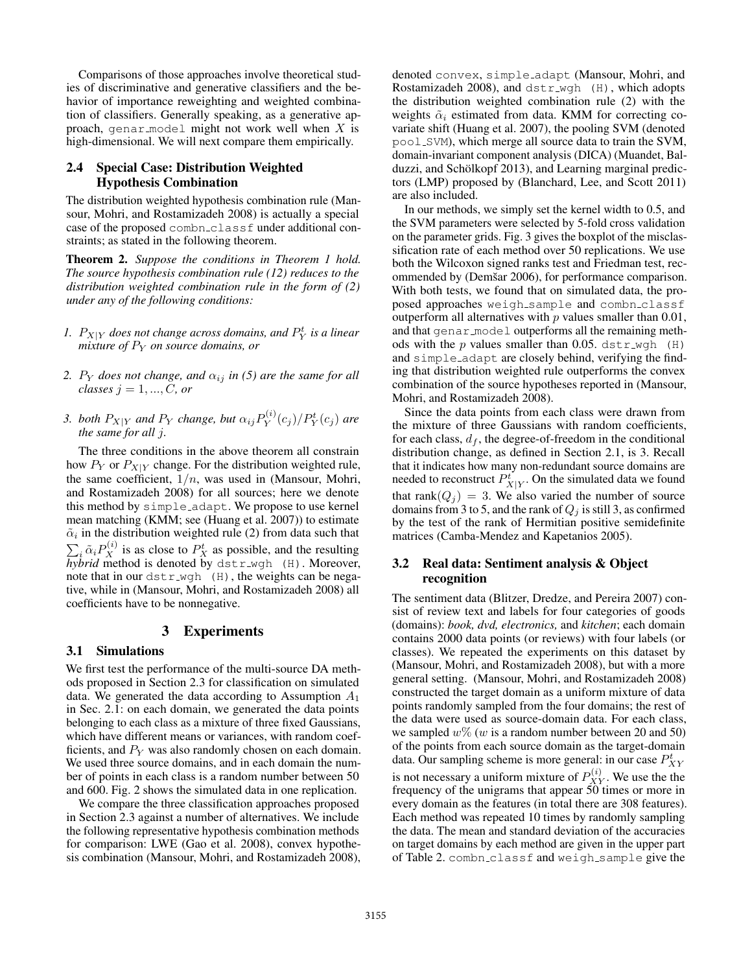Comparisons of those approaches involve theoretical studies of discriminative and generative classifiers and the behavior of importance reweighting and weighted combination of classifiers. Generally speaking, as a generative approach, genar model might not work well when  $X$  is high-dimensional. We will next compare them empirically.

# 2.4 Special Case: Distribution Weighted Hypothesis Combination

The distribution weighted hypothesis combination rule (Mansour, Mohri, and Rostamizadeh 2008) is actually a special case of the proposed combn classf under additional constraints; as stated in the following theorem.

Theorem 2. *Suppose the conditions in Theorem 1 hold. The source hypothesis combination rule (12) reduces to the distribution weighted combination rule in the form of (2) under any of the following conditions:*

- 1.  $P_{X|Y}$  does not change across domains, and  $P_Y^t$  is a linear *mixture of P<sub>Y</sub> on source domains, or*
- *2.*  $P_Y$  *does not change, and*  $\alpha_{ij}$  *in (5) are the same for all classes*  $j = 1, ..., C$ , or
- *3. both*  $P_{X|Y}$  *and*  $P_Y$  *change, but*  $\alpha_{ij}P_Y^{(i)}$  $\frac{P_Y^{(i)}(c_j)}{P_Y^{t}(c_j)}$  are *the same for all* j*.*

The three conditions in the above theorem all constrain how  $P_Y$  or  $P_{X|Y}$  change. For the distribution weighted rule, the same coefficient,  $1/n$ , was used in (Mansour, Mohri, and Rostamizadeh 2008) for all sources; here we denote this method by simple adapt. We propose to use kernel mean matching (KMM; see (Huang et al. 2007)) to estimate  $\tilde{\alpha}_i$  in the distribution weighted rule (2) from data such that  $\sum_i \tilde{\alpha}_i P_X^{(i)}$  is as close to  $P_X^t$  as possible, and the resulting *hybrid* method is denoted by dstr wgh (H). Moreover, note that in our  $dstr_wgh$  (H), the weights can be negative, while in (Mansour, Mohri, and Rostamizadeh 2008) all coefficients have to be nonnegative.

### 3 Experiments

#### 3.1 Simulations

We first test the performance of the multi-source DA methods proposed in Section 2.3 for classification on simulated data. We generated the data according to Assumption  $A_1$ in Sec. 2.1: on each domain, we generated the data points belonging to each class as a mixture of three fixed Gaussians, which have different means or variances, with random coefficients, and  $P<sub>Y</sub>$  was also randomly chosen on each domain. We used three source domains, and in each domain the number of points in each class is a random number between 50 and 600. Fig. 2 shows the simulated data in one replication.

We compare the three classification approaches proposed in Section 2.3 against a number of alternatives. We include the following representative hypothesis combination methods for comparison: LWE (Gao et al. 2008), convex hypothesis combination (Mansour, Mohri, and Rostamizadeh 2008), denoted convex, simple adapt (Mansour, Mohri, and Rostamizadeh 2008), and dstr\_wgh (H), which adopts the distribution weighted combination rule (2) with the weights  $\tilde{\alpha}_i$  estimated from data. KMM for correcting covariate shift (Huang et al. 2007), the pooling SVM (denoted pool SVM), which merge all source data to train the SVM, domain-invariant component analysis (DICA) (Muandet, Balduzzi, and Schölkopf 2013), and Learning marginal predictors (LMP) proposed by (Blanchard, Lee, and Scott 2011) are also included.

In our methods, we simply set the kernel width to 0.5, and the SVM parameters were selected by 5-fold cross validation on the parameter grids. Fig. 3 gives the boxplot of the misclassification rate of each method over 50 replications. We use both the Wilcoxon signed ranks test and Friedman test, recommended by (Demšar 2006), for performance comparison. With both tests, we found that on simulated data, the proposed approaches weigh sample and combn classf outperform all alternatives with  $p$  values smaller than 0.01, and that genar model outperforms all the remaining methods with the  $p$  values smaller than 0.05. dstr\_wgh (H) and simple adapt are closely behind, verifying the finding that distribution weighted rule outperforms the convex combination of the source hypotheses reported in (Mansour, Mohri, and Rostamizadeh 2008).

Since the data points from each class were drawn from the mixture of three Gaussians with random coefficients, for each class,  $d_f$ , the degree-of-freedom in the conditional distribution change, as defined in Section 2.1, is 3. Recall that it indicates how many non-redundant source domains are needed to reconstruct  $P_{X|Y}^t$ . On the simulated data we found that rank $(Q_j) = 3$ . We also varied the number of source domains from 3 to 5, and the rank of  $Q_i$  is still 3, as confirmed by the test of the rank of Hermitian positive semidefinite matrices (Camba-Mendez and Kapetanios 2005).

### 3.2 Real data: Sentiment analysis & Object recognition

The sentiment data (Blitzer, Dredze, and Pereira 2007) consist of review text and labels for four categories of goods (domains): *book, dvd, electronics,* and *kitchen*; each domain contains 2000 data points (or reviews) with four labels (or classes). We repeated the experiments on this dataset by (Mansour, Mohri, and Rostamizadeh 2008), but with a more general setting. (Mansour, Mohri, and Rostamizadeh 2008) constructed the target domain as a uniform mixture of data points randomly sampled from the four domains; the rest of the data were used as source-domain data. For each class, we sampled  $w\%$  (w is a random number between 20 and 50) of the points from each source domain as the target-domain data. Our sampling scheme is more general: in our case  $P_{XY}^t$ is not necessary a uniform mixture of  $P_{XY}^{(i)}$ . We use the the frequency of the unigrams that appear 50 times or more in every domain as the features (in total there are 308 features). Each method was repeated 10 times by randomly sampling the data. The mean and standard deviation of the accuracies on target domains by each method are given in the upper part of Table 2. combn classf and weigh sample give the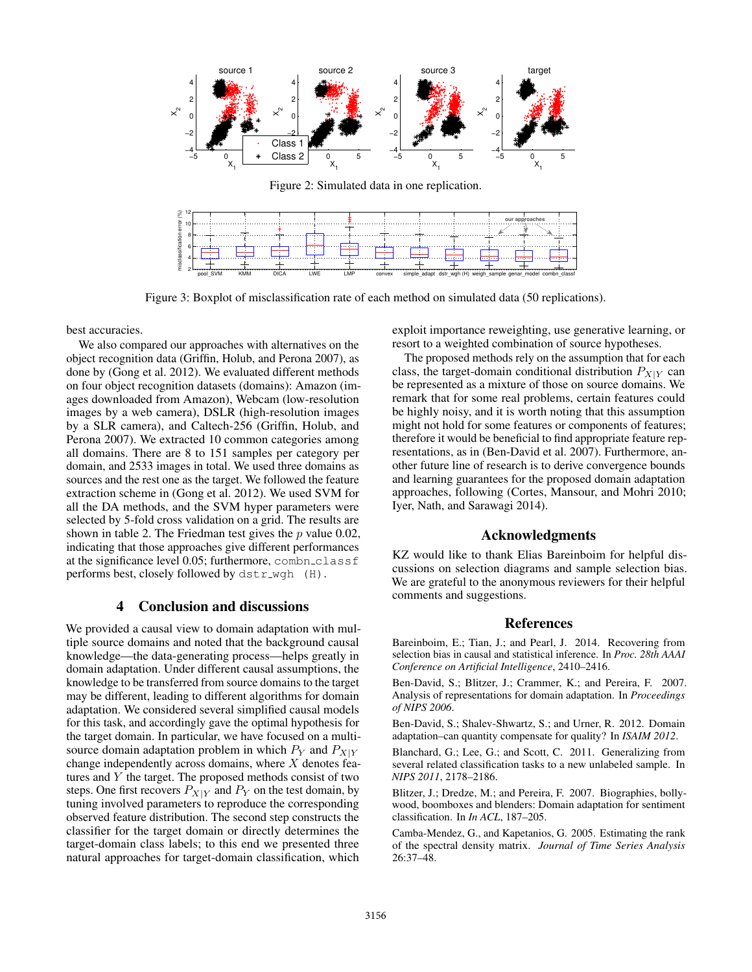

Figure 3: Boxplot of misclassification rate of each method on simulated data (50 replications).

best accuracies.

We also compared our approaches with alternatives on the object recognition data (Griffin, Holub, and Perona 2007), as done by (Gong et al. 2012). We evaluated different methods on four object recognition datasets (domains): Amazon (images downloaded from Amazon), Webcam (low-resolution images by a web camera), DSLR (high-resolution images by a SLR camera), and Caltech-256 (Griffin, Holub, and Perona 2007). We extracted 10 common categories among all domains. There are 8 to 151 samples per category per domain, and 2533 images in total. We used three domains as sources and the rest one as the target. We followed the feature extraction scheme in (Gong et al. 2012). We used SVM for all the DA methods, and the SVM hyper parameters were selected by 5-fold cross validation on a grid. The results are shown in table 2. The Friedman test gives the  $p$  value 0.02, indicating that those approaches give different performances at the significance level 0.05; furthermore, combn\_classf performs best, closely followed by dstr\_wgh (H).

## 4 Conclusion and discussions

We provided a causal view to domain adaptation with multiple source domains and noted that the background causal knowledge—the data-generating process—helps greatly in domain adaptation. Under different causal assumptions, the knowledge to be transferred from source domains to the target may be different, leading to different algorithms for domain adaptation. We considered several simplified causal models for this task, and accordingly gave the optimal hypothesis for the target domain. In particular, we have focused on a multisource domain adaptation problem in which  $P_Y$  and  $P_{X|Y}$ change independently across domains, where  $X$  denotes features and  $Y$  the target. The proposed methods consist of two steps. One first recovers  $P_{X|Y}$  and  $P_Y$  on the test domain, by tuning involved parameters to reproduce the corresponding observed feature distribution. The second step constructs the classifier for the target domain or directly determines the target-domain class labels; to this end we presented three natural approaches for target-domain classification, which

exploit importance reweighting, use generative learning, or resort to a weighted combination of source hypotheses.

The proposed methods rely on the assumption that for each class, the target-domain conditional distribution  $P_{X|Y}$  can be represented as a mixture of those on source domains. We remark that for some real problems, certain features could be highly noisy, and it is worth noting that this assumption might not hold for some features or components of features; therefore it would be beneficial to find appropriate feature representations, as in (Ben-David et al. 2007). Furthermore, another future line of research is to derive convergence bounds and learning guarantees for the proposed domain adaptation approaches, following (Cortes, Mansour, and Mohri 2010; Iyer, Nath, and Sarawagi 2014).

### Acknowledgments

KZ would like to thank Elias Bareinboim for helpful discussions on selection diagrams and sample selection bias. We are grateful to the anonymous reviewers for their helpful comments and suggestions.

#### References

Bareinboim, E.; Tian, J.; and Pearl, J. 2014. Recovering from selection bias in causal and statistical inference. In *Proc. 28th AAAI Conference on Artificial Intelligence*, 2410–2416.

Ben-David, S.; Blitzer, J.; Crammer, K.; and Pereira, F. 2007. Analysis of representations for domain adaptation. In *Proceedings of NIPS 2006*.

Ben-David, S.; Shalev-Shwartz, S.; and Urner, R. 2012. Domain adaptation–can quantity compensate for quality? In *ISAIM 2012*.

Blanchard, G.; Lee, G.; and Scott, C. 2011. Generalizing from several related classification tasks to a new unlabeled sample. In *NIPS 2011*, 2178–2186.

Blitzer, J.; Dredze, M.; and Pereira, F. 2007. Biographies, bollywood, boomboxes and blenders: Domain adaptation for sentiment classification. In *In ACL*, 187–205.

Camba-Mendez, G., and Kapetanios, G. 2005. Estimating the rank of the spectral density matrix. *Journal of Time Series Analysis* 26:37–48.